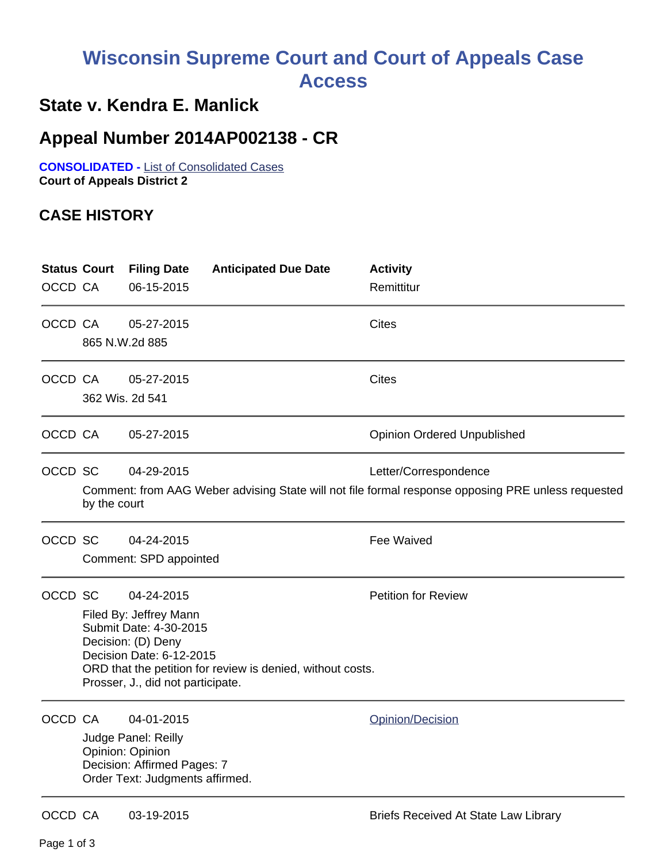## **Wisconsin Supreme Court and Court of Appeals Case Access**

## **State v. Kendra E. Manlick**

## **Appeal Number 2014AP002138 - CR**

**CONSOLIDATED -** List of Consolidated Cases **Court of Appeals District 2**

## **CASE HISTORY**

| <b>Status Court</b><br>OCCD CA |                                                                                                                                                                                                                     | <b>Filing Date</b><br>06-15-2015                                                                                        | <b>Anticipated Due Date</b> | <b>Activity</b><br>Remittitur               |
|--------------------------------|---------------------------------------------------------------------------------------------------------------------------------------------------------------------------------------------------------------------|-------------------------------------------------------------------------------------------------------------------------|-----------------------------|---------------------------------------------|
| OCCD CA                        | 865 N.W.2d 885                                                                                                                                                                                                      | 05-27-2015                                                                                                              |                             | Cites                                       |
| OCCD CA                        | 362 Wis. 2d 541                                                                                                                                                                                                     | 05-27-2015                                                                                                              |                             | <b>Cites</b>                                |
| OCCD CA                        |                                                                                                                                                                                                                     | 05-27-2015                                                                                                              |                             | <b>Opinion Ordered Unpublished</b>          |
| OCCD SC                        | 04-29-2015<br>Letter/Correspondence<br>Comment: from AAG Weber advising State will not file formal response opposing PRE unless requested<br>by the court                                                           |                                                                                                                         |                             |                                             |
| OCCD SC                        |                                                                                                                                                                                                                     | 04-24-2015<br>Comment: SPD appointed                                                                                    |                             | <b>Fee Waived</b>                           |
| OCCD SC                        | 04-24-2015<br>Filed By: Jeffrey Mann<br>Submit Date: 4-30-2015<br>Decision: (D) Deny<br>Decision Date: 6-12-2015<br>ORD that the petition for review is denied, without costs.<br>Prosser, J., did not participate. |                                                                                                                         |                             | <b>Petition for Review</b>                  |
| OCCD CA                        |                                                                                                                                                                                                                     | 04-01-2015<br>Judge Panel: Reilly<br>Opinion: Opinion<br>Decision: Affirmed Pages: 7<br>Order Text: Judgments affirmed. |                             | Opinion/Decision                            |
| OCCD CA                        |                                                                                                                                                                                                                     | 03-19-2015                                                                                                              |                             | <b>Briefs Received At State Law Library</b> |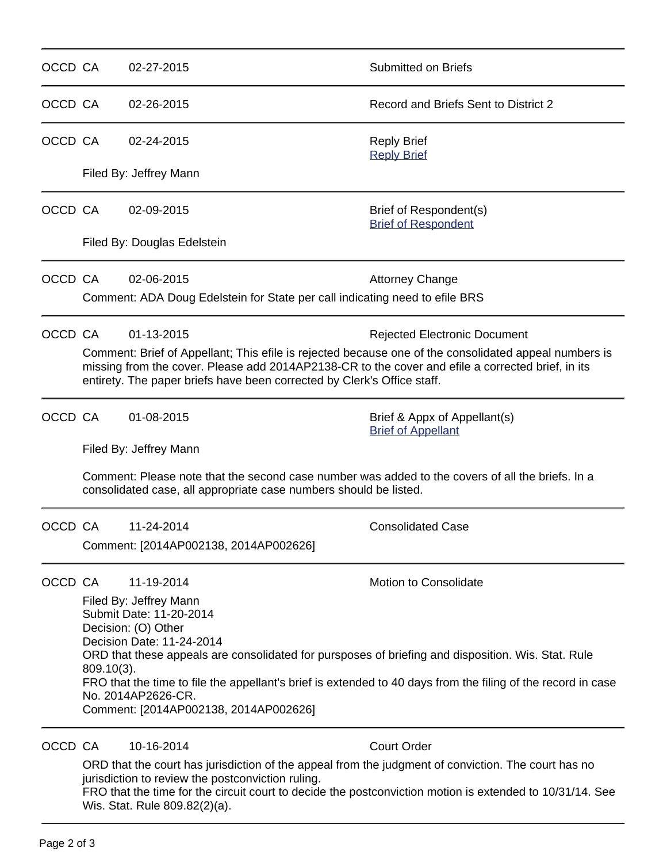| OCCD CA |                                                                                                                                                                                                                                                                                                                                                                                                                                                    | 02-27-2015                                                                                                                                                             | Submitted on Briefs                                       |  |  |  |
|---------|----------------------------------------------------------------------------------------------------------------------------------------------------------------------------------------------------------------------------------------------------------------------------------------------------------------------------------------------------------------------------------------------------------------------------------------------------|------------------------------------------------------------------------------------------------------------------------------------------------------------------------|-----------------------------------------------------------|--|--|--|
| OCCD CA |                                                                                                                                                                                                                                                                                                                                                                                                                                                    | 02-26-2015                                                                                                                                                             | Record and Briefs Sent to District 2                      |  |  |  |
| OCCD CA |                                                                                                                                                                                                                                                                                                                                                                                                                                                    | 02-24-2015                                                                                                                                                             | <b>Reply Brief</b><br><b>Reply Brief</b>                  |  |  |  |
|         | Filed By: Jeffrey Mann                                                                                                                                                                                                                                                                                                                                                                                                                             |                                                                                                                                                                        |                                                           |  |  |  |
| OCCD CA |                                                                                                                                                                                                                                                                                                                                                                                                                                                    | 02-09-2015                                                                                                                                                             | Brief of Respondent(s)<br><b>Brief of Respondent</b>      |  |  |  |
|         |                                                                                                                                                                                                                                                                                                                                                                                                                                                    | Filed By: Douglas Edelstein                                                                                                                                            |                                                           |  |  |  |
| OCCD CA |                                                                                                                                                                                                                                                                                                                                                                                                                                                    | 02-06-2015<br>Comment: ADA Doug Edelstein for State per call indicating need to efile BRS                                                                              | <b>Attorney Change</b>                                    |  |  |  |
| OCCD CA | 01-13-2015<br><b>Rejected Electronic Document</b><br>Comment: Brief of Appellant; This efile is rejected because one of the consolidated appeal numbers is<br>missing from the cover. Please add 2014AP2138-CR to the cover and efile a corrected brief, in its<br>entirety. The paper briefs have been corrected by Clerk's Office staff.                                                                                                         |                                                                                                                                                                        |                                                           |  |  |  |
| OCCD CA |                                                                                                                                                                                                                                                                                                                                                                                                                                                    | 01-08-2015                                                                                                                                                             | Brief & Appx of Appellant(s)<br><b>Brief of Appellant</b> |  |  |  |
|         | Filed By: Jeffrey Mann<br>Comment: Please note that the second case number was added to the covers of all the briefs. In a<br>consolidated case, all appropriate case numbers should be listed.                                                                                                                                                                                                                                                    |                                                                                                                                                                        |                                                           |  |  |  |
| OCCD CA |                                                                                                                                                                                                                                                                                                                                                                                                                                                    | 11-24-2014<br>Comment: [2014AP002138, 2014AP002626]                                                                                                                    | <b>Consolidated Case</b>                                  |  |  |  |
| OCCD CA | Motion to Consolidate<br>11-19-2014<br>Filed By: Jeffrey Mann<br>Submit Date: 11-20-2014<br>Decision: (O) Other<br>Decision Date: 11-24-2014<br>ORD that these appeals are consolidated for pursposes of briefing and disposition. Wis. Stat. Rule<br>$809.10(3)$ .<br>FRO that the time to file the appellant's brief is extended to 40 days from the filing of the record in case<br>No. 2014AP2626-CR.<br>Comment: [2014AP002138, 2014AP002626] |                                                                                                                                                                        |                                                           |  |  |  |
| OCCD CA |                                                                                                                                                                                                                                                                                                                                                                                                                                                    | 10-16-2014<br>ORD that the court has jurisdiction of the appeal from the judgment of conviction. The court has no<br>jurisdiction to review the postconviction ruling. | <b>Court Order</b>                                        |  |  |  |

FRO that the time for the circuit court to decide the postconviction motion is extended to 10/31/14. See Wis. Stat. Rule 809.82(2)(a).